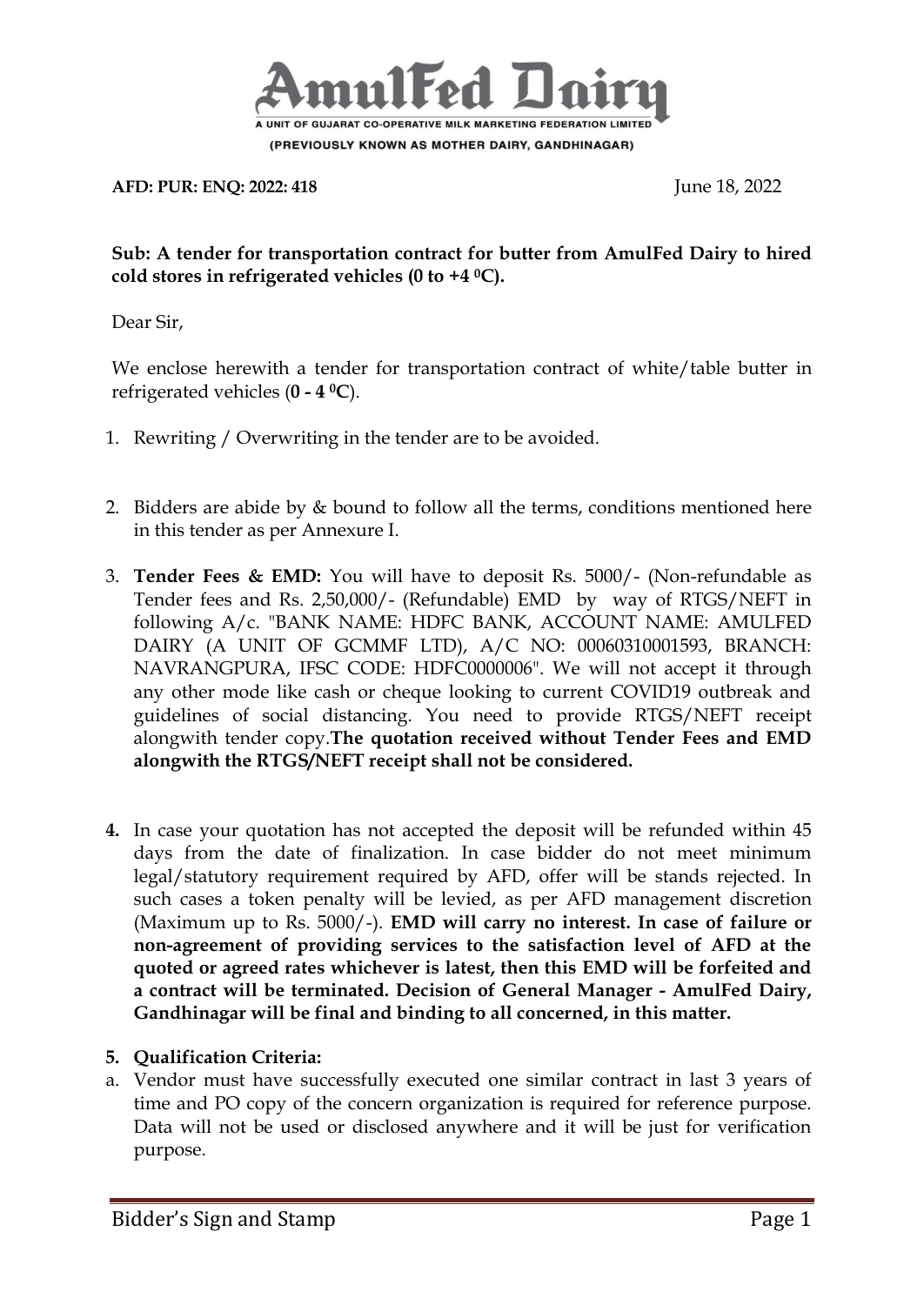

**AFD: PUR: ENQ: 2022: 418** June 18, 2022

#### **Sub: A tender for transportation contract for butter from AmulFed Dairy to hired cold stores in refrigerated vehicles (0 to +4 <sup>0</sup>C).**

Dear Sir,

We enclose herewith a tender for transportation contract of white/table butter in refrigerated vehicles (**0 - 4 0C**).

- 1. Rewriting / Overwriting in the tender are to be avoided.
- 2. Bidders are abide by  $&$  bound to follow all the terms, conditions mentioned here in this tender as per Annexure I.
- 3. **Tender Fees & EMD:** You will have to deposit Rs. 5000/- (Non-refundable as Tender fees and Rs. 2,50,000/- (Refundable) EMD by way of RTGS/NEFT in following A/c. "BANK NAME: HDFC BANK, ACCOUNT NAME: AMULFED DAIRY (A UNIT OF GCMMF LTD), A/C NO: 00060310001593, BRANCH: NAVRANGPURA, IFSC CODE: HDFC0000006". We will not accept it through any other mode like cash or cheque looking to current COVID19 outbreak and guidelines of social distancing. You need to provide RTGS/NEFT receipt alongwith tender copy.**The quotation received without Tender Fees and EMD alongwith the RTGS/NEFT receipt shall not be considered.**
- **4.** In case your quotation has not accepted the deposit will be refunded within 45 days from the date of finalization. In case bidder do not meet minimum legal/statutory requirement required by AFD, offer will be stands rejected. In such cases a token penalty will be levied, as per AFD management discretion (Maximum up to Rs. 5000/-). **EMD will carry no interest. In case of failure or non-agreement of providing services to the satisfaction level of AFD at the quoted or agreed rates whichever is latest, then this EMD will be forfeited and a contract will be terminated. Decision of General Manager - AmulFed Dairy, Gandhinagar will be final and binding to all concerned, in this matter.**

# **5. Qualification Criteria:**

a. Vendor must have successfully executed one similar contract in last 3 years of time and PO copy of the concern organization is required for reference purpose. Data will not be used or disclosed anywhere and it will be just for verification purpose.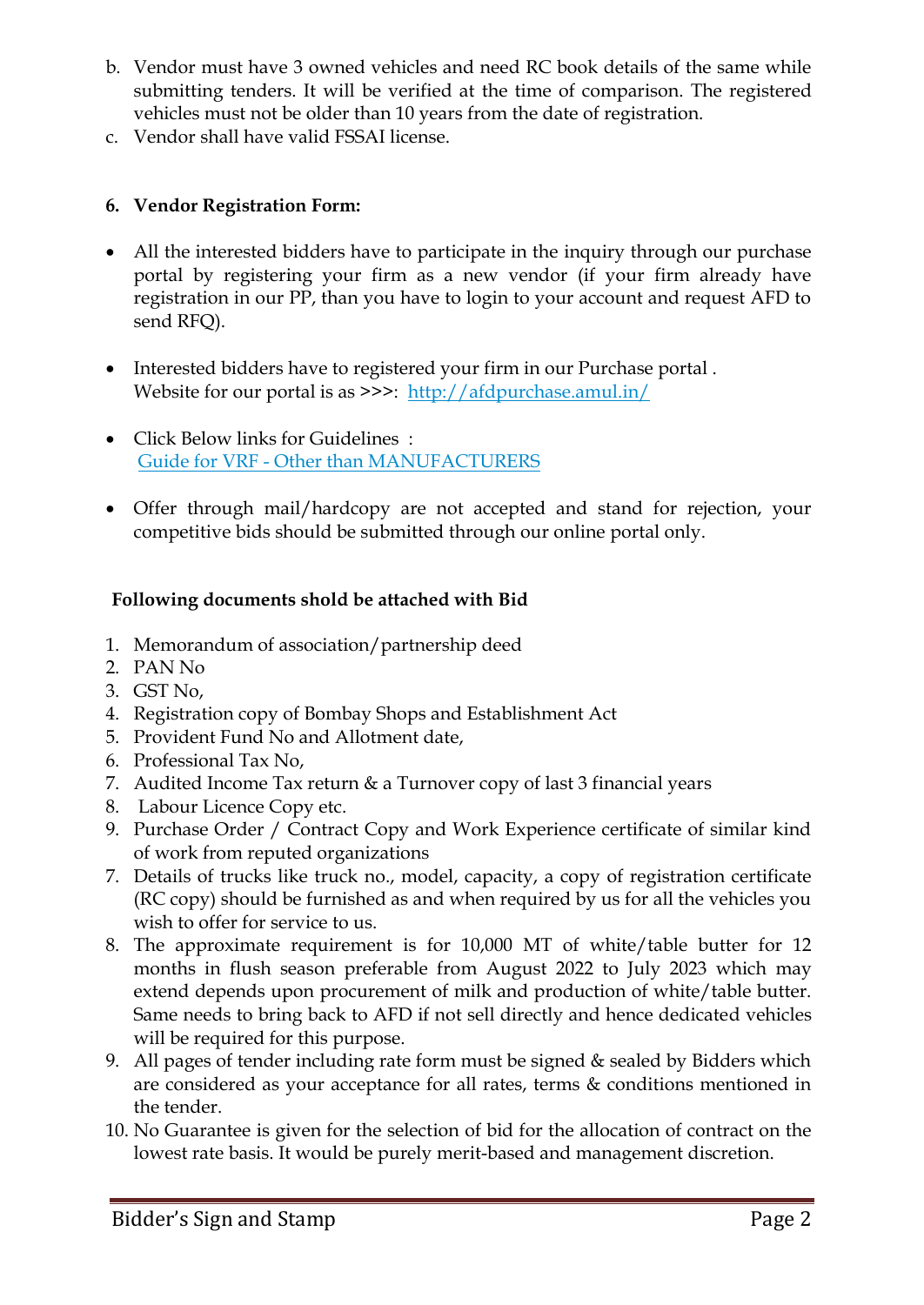- b. Vendor must have 3 owned vehicles and need RC book details of the same while submitting tenders. It will be verified at the time of comparison. The registered vehicles must not be older than 10 years from the date of registration.
- c. Vendor shall have valid FSSAI license.

## **6. Vendor Registration Form:**

- All the interested bidders have to participate in the inquiry through our purchase portal by registering your firm as a new vendor (if your firm already have registration in our PP, than you have to login to your account and request AFD to send RFQ).
- Interested bidders have to registered your firm in our Purchase portal . Website for our portal is as >>>: <http://afdpurchase.amul.in/>
- Click Below links for Guidelines : Guide for VRF - [Other than MANUFACTURERS](https://in-mum-m110.icewarpcloud.in/collaboration/#ticket=eJxNjMEOgjAQRL.GvaGlUNrLHgiKJ5WgeId2K0QFU8r,W24mM2.SSWaeKIyyvOcyVSYBi4dZrx.a,BKJsl6dHrqFIs7q2fnuDRorWP4mmsBhzJNMZoJJlQEhjJjzPBckUsmE3p,W0WwPdnaBj6YKjIODrn6grfRDN4U4F5e2Ksp72xyb2.5rLBhM4IVMEUuZlJp.VjQxZA__t&url=https%3A//amul.icewarpcloud.in/teamcha)
- Offer through mail/hardcopy are not accepted and stand for rejection, your competitive bids should be submitted through our online portal only.

## **Following documents shold be attached with Bid**

- 1. Memorandum of association/partnership deed
- 2. PAN No
- 3. GST No,
- 4. Registration copy of Bombay Shops and Establishment Act
- 5. Provident Fund No and Allotment date,
- 6. Professional Tax No,
- 7. Audited Income Tax return & a Turnover copy of last 3 financial years
- 8. Labour Licence Copy etc.
- 9. Purchase Order / Contract Copy and Work Experience certificate of similar kind of work from reputed organizations
- 7. Details of trucks like truck no., model, capacity, a copy of registration certificate (RC copy) should be furnished as and when required by us for all the vehicles you wish to offer for service to us.
- 8. The approximate requirement is for 10,000 MT of white/table butter for 12 months in flush season preferable from August 2022 to July 2023 which may extend depends upon procurement of milk and production of white/table butter. Same needs to bring back to AFD if not sell directly and hence dedicated vehicles will be required for this purpose.
- 9. All pages of tender including rate form must be signed & sealed by Bidders which are considered as your acceptance for all rates, terms & conditions mentioned in the tender.
- 10. No Guarantee is given for the selection of bid for the allocation of contract on the lowest rate basis. It would be purely merit-based and management discretion.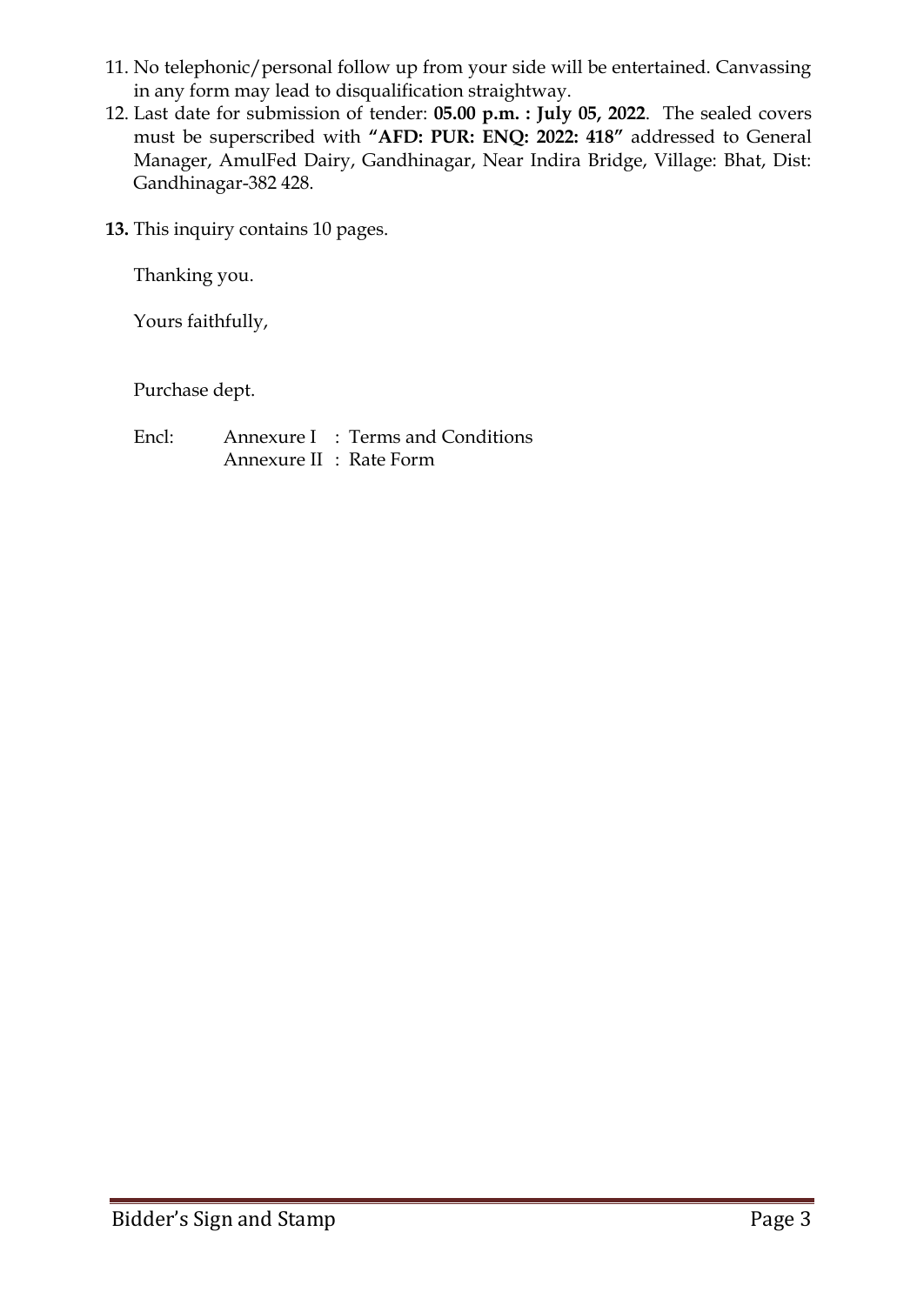- 11. No telephonic/personal follow up from your side will be entertained. Canvassing in any form may lead to disqualification straightway.
- 12. Last date for submission of tender: **05.00 p.m. : July 05, 2022**. The sealed covers must be superscribed with **"AFD: PUR: ENQ: 2022: 418"** addressed to General Manager, AmulFed Dairy, Gandhinagar, Near Indira Bridge, Village: Bhat, Dist: Gandhinagar-382 428.
- **13.** This inquiry contains 10 pages.

Thanking you.

Yours faithfully,

Purchase dept.

Encl: Annexure I : Terms and Conditions Annexure II : Rate Form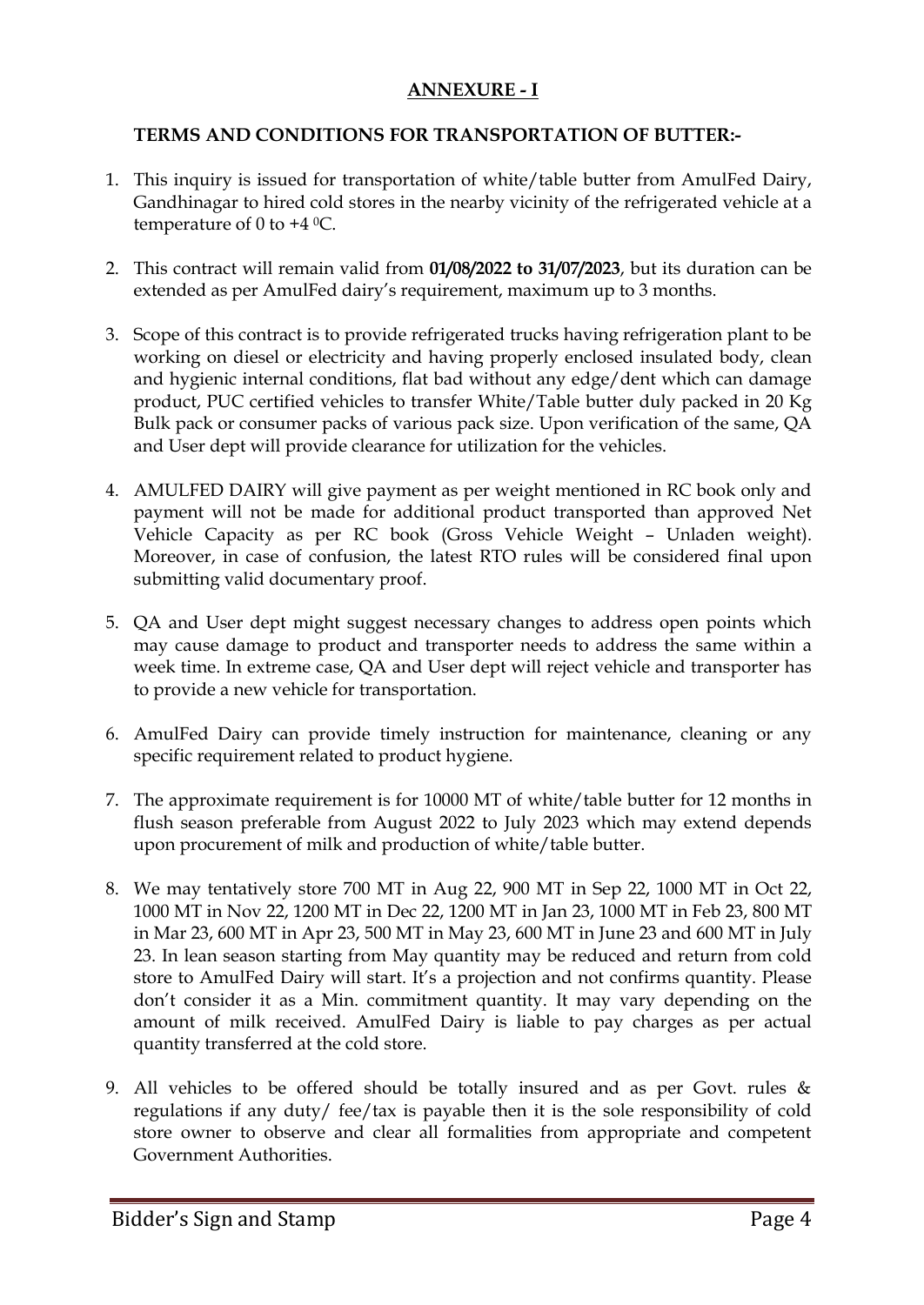# **ANNEXURE - I**

#### **TERMS AND CONDITIONS FOR TRANSPORTATION OF BUTTER:-**

- 1. This inquiry is issued for transportation of white/table butter from AmulFed Dairy, Gandhinagar to hired cold stores in the nearby vicinity of the refrigerated vehicle at a temperature of 0 to  $+4$  °C.
- 2. This contract will remain valid from **01/08/2022 to 31/07/2023**, but its duration can be extended as per AmulFed dairy's requirement, maximum up to 3 months.
- 3. Scope of this contract is to provide refrigerated trucks having refrigeration plant to be working on diesel or electricity and having properly enclosed insulated body, clean and hygienic internal conditions, flat bad without any edge/dent which can damage product, PUC certified vehicles to transfer White/Table butter duly packed in 20 Kg Bulk pack or consumer packs of various pack size. Upon verification of the same, QA and User dept will provide clearance for utilization for the vehicles.
- 4. AMULFED DAIRY will give payment as per weight mentioned in RC book only and payment will not be made for additional product transported than approved Net Vehicle Capacity as per RC book (Gross Vehicle Weight – Unladen weight). Moreover, in case of confusion, the latest RTO rules will be considered final upon submitting valid documentary proof.
- 5. QA and User dept might suggest necessary changes to address open points which may cause damage to product and transporter needs to address the same within a week time. In extreme case, QA and User dept will reject vehicle and transporter has to provide a new vehicle for transportation.
- 6. AmulFed Dairy can provide timely instruction for maintenance, cleaning or any specific requirement related to product hygiene.
- 7. The approximate requirement is for 10000 MT of white/table butter for 12 months in flush season preferable from August 2022 to July 2023 which may extend depends upon procurement of milk and production of white/table butter.
- 8. We may tentatively store 700 MT in Aug 22, 900 MT in Sep 22, 1000 MT in Oct 22, 1000 MT in Nov 22, 1200 MT in Dec 22, 1200 MT in Jan 23, 1000 MT in Feb 23, 800 MT in Mar 23, 600 MT in Apr 23, 500 MT in May 23, 600 MT in June 23 and 600 MT in July 23. In lean season starting from May quantity may be reduced and return from cold store to AmulFed Dairy will start. It's a projection and not confirms quantity. Please don't consider it as a Min. commitment quantity. It may vary depending on the amount of milk received. AmulFed Dairy is liable to pay charges as per actual quantity transferred at the cold store.
- 9. All vehicles to be offered should be totally insured and as per Govt. rules & regulations if any duty/ fee/tax is payable then it is the sole responsibility of cold store owner to observe and clear all formalities from appropriate and competent Government Authorities.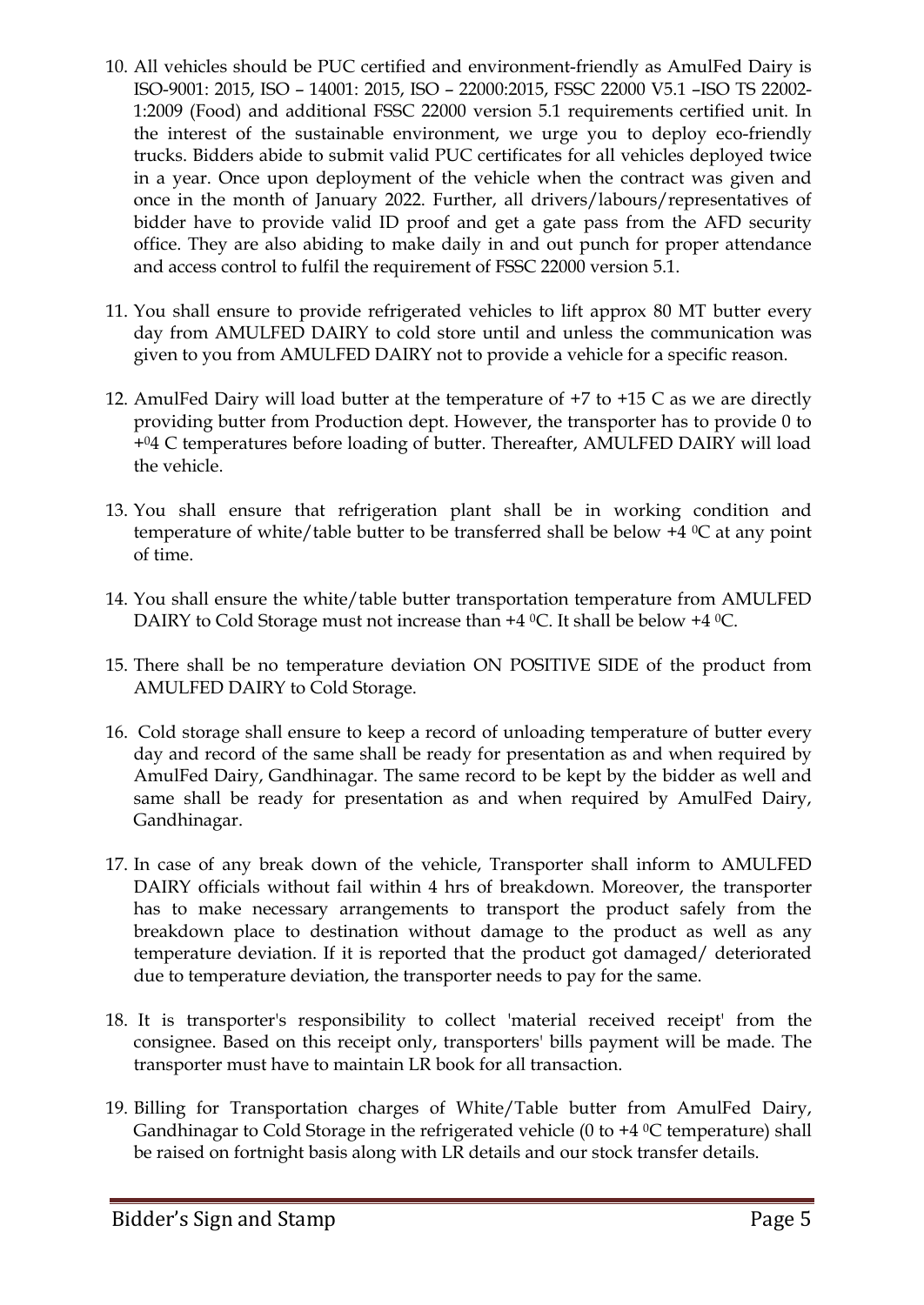- 10. All vehicles should be PUC certified and environment-friendly as AmulFed Dairy is ISO-9001: 2015, ISO – 14001: 2015, ISO – 22000:2015, FSSC 22000 V5.1 –ISO TS 22002- 1:2009 (Food) and additional FSSC 22000 version 5.1 requirements certified unit. In the interest of the sustainable environment, we urge you to deploy eco-friendly trucks. Bidders abide to submit valid PUC certificates for all vehicles deployed twice in a year. Once upon deployment of the vehicle when the contract was given and once in the month of January 2022. Further, all drivers/labours/representatives of bidder have to provide valid ID proof and get a gate pass from the AFD security office. They are also abiding to make daily in and out punch for proper attendance and access control to fulfil the requirement of FSSC 22000 version 5.1.
- 11. You shall ensure to provide refrigerated vehicles to lift approx 80 MT butter every day from AMULFED DAIRY to cold store until and unless the communication was given to you from AMULFED DAIRY not to provide a vehicle for a specific reason.
- 12. AmulFed Dairy will load butter at the temperature of +7 to +15 C as we are directly providing butter from Production dept. However, the transporter has to provide 0 to +04 C temperatures before loading of butter. Thereafter, AMULFED DAIRY will load the vehicle.
- 13. You shall ensure that refrigeration plant shall be in working condition and temperature of white/table butter to be transferred shall be below  $+4$  °C at any point of time.
- 14. You shall ensure the white/table butter transportation temperature from AMULFED DAIRY to Cold Storage must not increase than +4 °C. It shall be below +4 °C.
- 15. There shall be no temperature deviation ON POSITIVE SIDE of the product from AMULFED DAIRY to Cold Storage.
- 16. Cold storage shall ensure to keep a record of unloading temperature of butter every day and record of the same shall be ready for presentation as and when required by AmulFed Dairy, Gandhinagar. The same record to be kept by the bidder as well and same shall be ready for presentation as and when required by AmulFed Dairy, Gandhinagar.
- 17. In case of any break down of the vehicle, Transporter shall inform to AMULFED DAIRY officials without fail within 4 hrs of breakdown. Moreover, the transporter has to make necessary arrangements to transport the product safely from the breakdown place to destination without damage to the product as well as any temperature deviation. If it is reported that the product got damaged/ deteriorated due to temperature deviation, the transporter needs to pay for the same.
- 18. It is transporter's responsibility to collect 'material received receipt' from the consignee. Based on this receipt only, transporters' bills payment will be made. The transporter must have to maintain LR book for all transaction.
- 19. Billing for Transportation charges of White/Table butter from AmulFed Dairy, Gandhinagar to Cold Storage in the refrigerated vehicle (0 to  $+4$  °C temperature) shall be raised on fortnight basis along with LR details and our stock transfer details.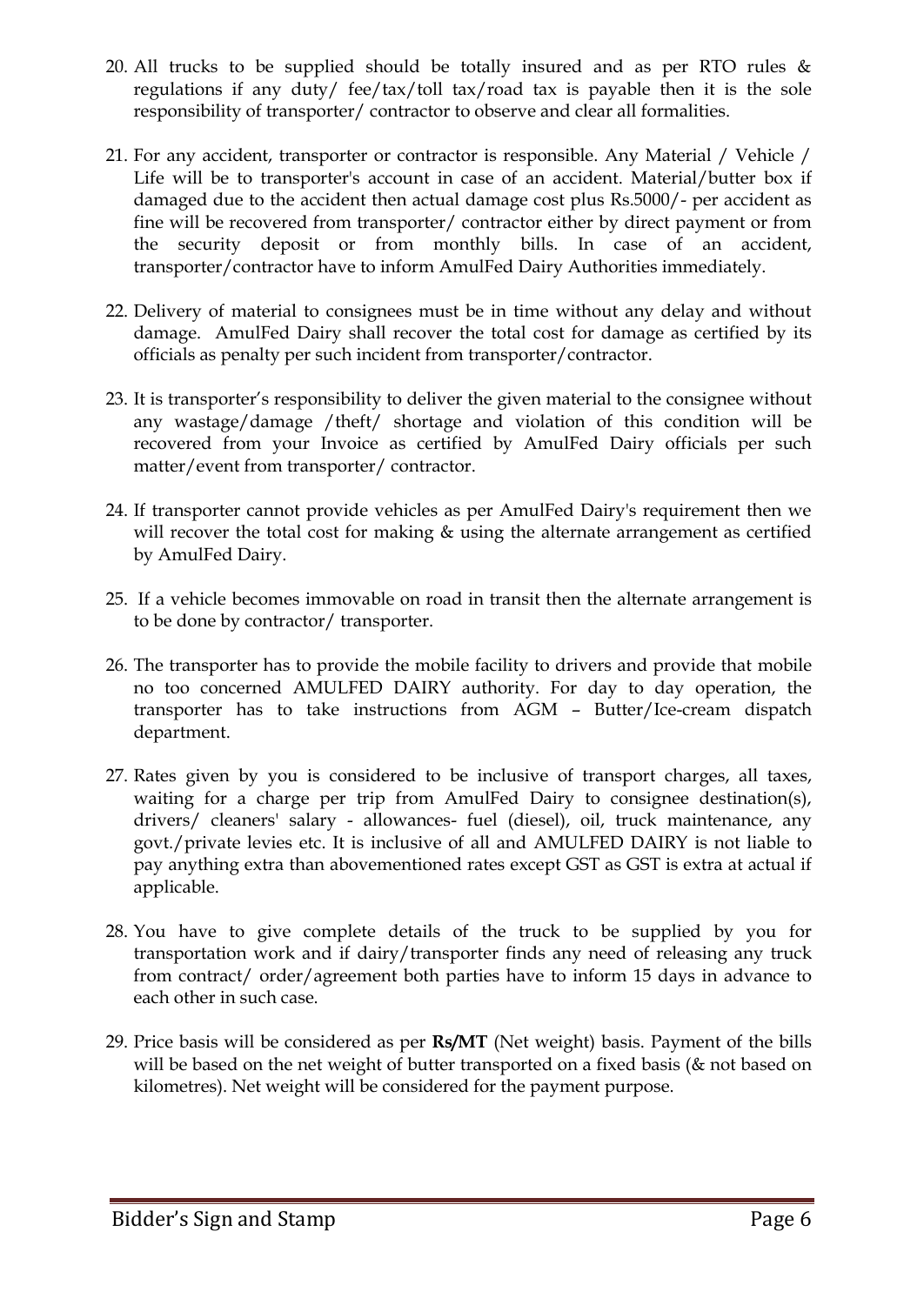- 20. All trucks to be supplied should be totally insured and as per RTO rules & regulations if any duty/ fee/tax/toll tax/road tax is payable then it is the sole responsibility of transporter/ contractor to observe and clear all formalities.
- 21. For any accident, transporter or contractor is responsible. Any Material / Vehicle / Life will be to transporter's account in case of an accident. Material/butter box if damaged due to the accident then actual damage cost plus Rs.5000/- per accident as fine will be recovered from transporter/ contractor either by direct payment or from the security deposit or from monthly bills. In case of an accident, transporter/contractor have to inform AmulFed Dairy Authorities immediately.
- 22. Delivery of material to consignees must be in time without any delay and without damage. AmulFed Dairy shall recover the total cost for damage as certified by its officials as penalty per such incident from transporter/contractor.
- 23. It is transporter's responsibility to deliver the given material to the consignee without any wastage/damage /theft/ shortage and violation of this condition will be recovered from your Invoice as certified by AmulFed Dairy officials per such matter/event from transporter/ contractor.
- 24. If transporter cannot provide vehicles as per AmulFed Dairy's requirement then we will recover the total cost for making  $&$  using the alternate arrangement as certified by AmulFed Dairy.
- 25. If a vehicle becomes immovable on road in transit then the alternate arrangement is to be done by contractor/ transporter.
- 26. The transporter has to provide the mobile facility to drivers and provide that mobile no too concerned AMULFED DAIRY authority. For day to day operation, the transporter has to take instructions from AGM – Butter/Ice-cream dispatch department.
- 27. Rates given by you is considered to be inclusive of transport charges, all taxes, waiting for a charge per trip from AmulFed Dairy to consignee destination(s), drivers/ cleaners' salary - allowances- fuel (diesel), oil, truck maintenance, any govt./private levies etc. It is inclusive of all and AMULFED DAIRY is not liable to pay anything extra than abovementioned rates except GST as GST is extra at actual if applicable.
- 28. You have to give complete details of the truck to be supplied by you for transportation work and if dairy/transporter finds any need of releasing any truck from contract/ order/agreement both parties have to inform 15 days in advance to each other in such case.
- 29. Price basis will be considered as per **Rs/MT** (Net weight) basis. Payment of the bills will be based on the net weight of butter transported on a fixed basis (& not based on kilometres). Net weight will be considered for the payment purpose.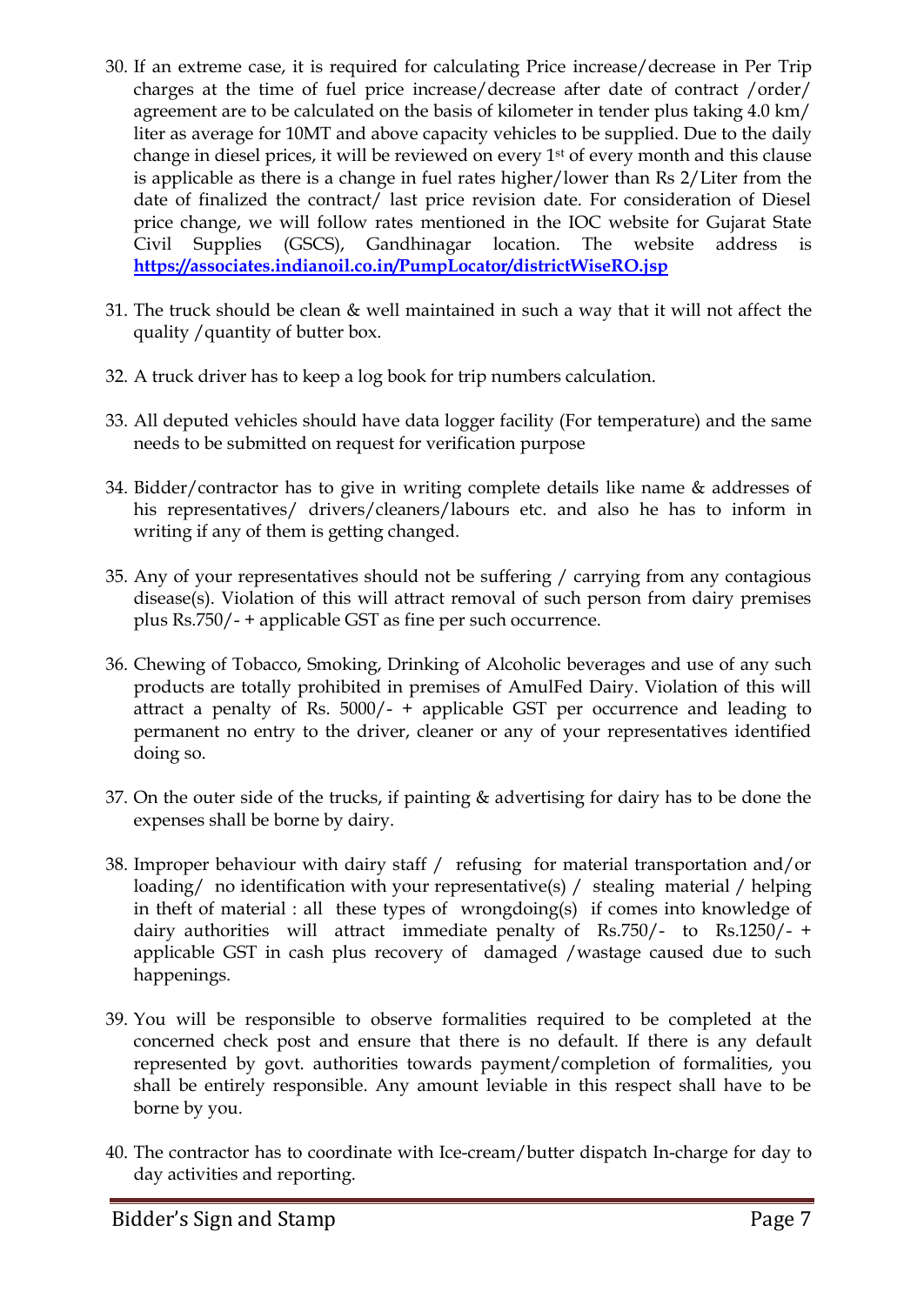- 30. If an extreme case, it is required for calculating Price increase/decrease in Per Trip charges at the time of fuel price increase/decrease after date of contract /order/ agreement are to be calculated on the basis of kilometer in tender plus taking 4.0 km/ liter as average for 10MT and above capacity vehicles to be supplied. Due to the daily change in diesel prices, it will be reviewed on every 1st of every month and this clause is applicable as there is a change in fuel rates higher/lower than Rs 2/Liter from the date of finalized the contract/ last price revision date. For consideration of Diesel price change, we will follow rates mentioned in the IOC website for Gujarat State Civil Supplies (GSCS), Gandhinagar location. The website address is **<https://associates.indianoil.co.in/PumpLocator/districtWiseRO.jsp>**
- 31. The truck should be clean & well maintained in such a way that it will not affect the quality /quantity of butter box.
- 32. A truck driver has to keep a log book for trip numbers calculation.
- 33. All deputed vehicles should have data logger facility (For temperature) and the same needs to be submitted on request for verification purpose
- 34. Bidder/contractor has to give in writing complete details like name & addresses of his representatives/ drivers/cleaners/labours etc. and also he has to inform in writing if any of them is getting changed.
- 35. Any of your representatives should not be suffering / carrying from any contagious disease(s). Violation of this will attract removal of such person from dairy premises plus Rs.750/- + applicable GST as fine per such occurrence.
- 36. Chewing of Tobacco, Smoking, Drinking of Alcoholic beverages and use of any such products are totally prohibited in premises of AmulFed Dairy. Violation of this will attract a penalty of Rs. 5000/- + applicable GST per occurrence and leading to permanent no entry to the driver, cleaner or any of your representatives identified doing so.
- 37. On the outer side of the trucks, if painting & advertising for dairy has to be done the expenses shall be borne by dairy.
- 38. Improper behaviour with dairy staff / refusing for material transportation and/or loading/ no identification with your representative(s) / stealing material / helping in theft of material : all these types of wrongdoing(s) if comes into knowledge of dairy authorities will attract immediate penalty of Rs.750/- to Rs.1250/- + applicable GST in cash plus recovery of damaged /wastage caused due to such happenings.
- 39. You will be responsible to observe formalities required to be completed at the concerned check post and ensure that there is no default. If there is any default represented by govt. authorities towards payment/completion of formalities, you shall be entirely responsible. Any amount leviable in this respect shall have to be borne by you.
- 40. The contractor has to coordinate with Ice-cream/butter dispatch In-charge for day to day activities and reporting.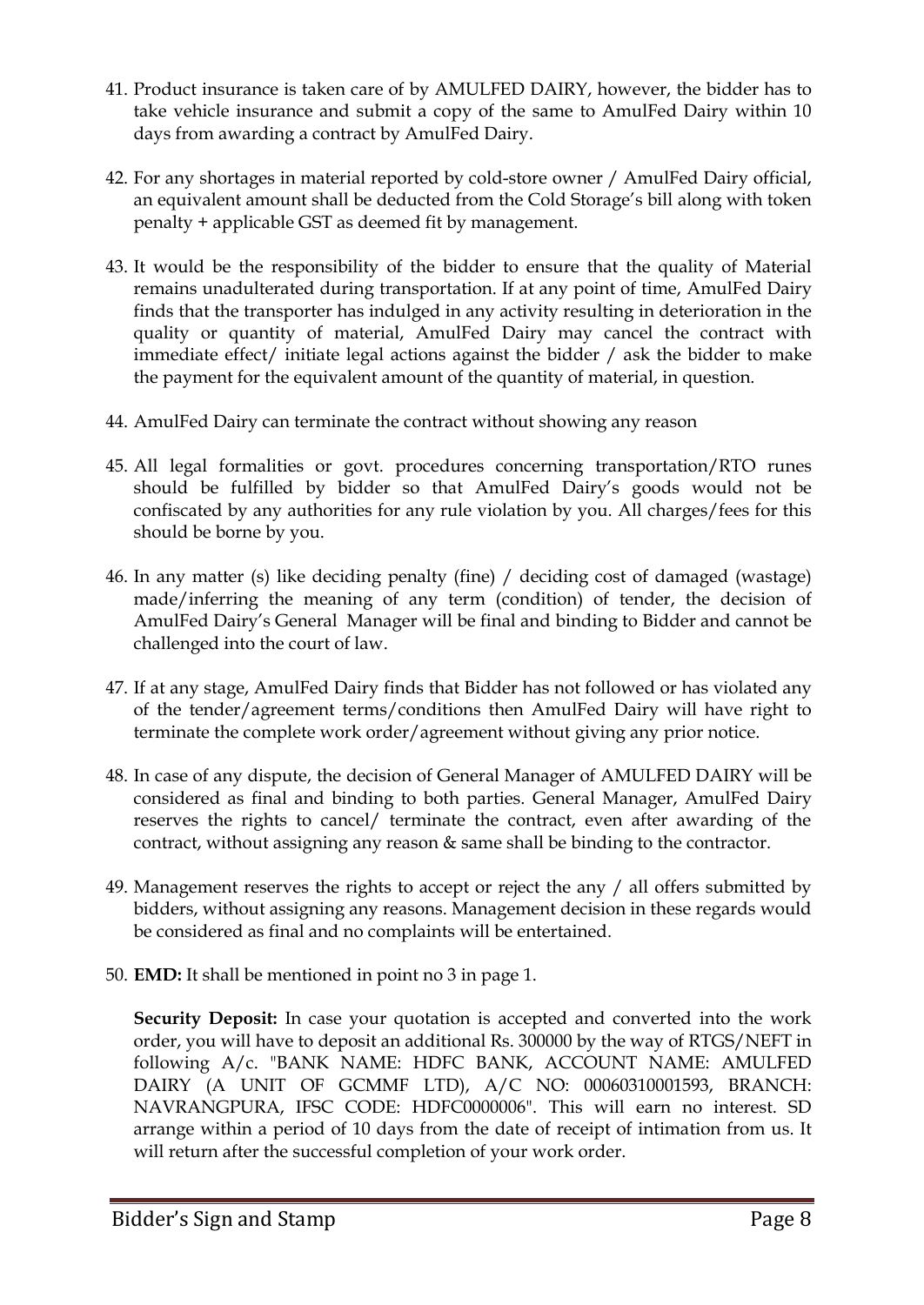- 41. Product insurance is taken care of by AMULFED DAIRY, however, the bidder has to take vehicle insurance and submit a copy of the same to AmulFed Dairy within 10 days from awarding a contract by AmulFed Dairy.
- 42. For any shortages in material reported by cold-store owner / AmulFed Dairy official, an equivalent amount shall be deducted from the Cold Storage's bill along with token penalty + applicable GST as deemed fit by management.
- 43. It would be the responsibility of the bidder to ensure that the quality of Material remains unadulterated during transportation. If at any point of time, AmulFed Dairy finds that the transporter has indulged in any activity resulting in deterioration in the quality or quantity of material, AmulFed Dairy may cancel the contract with immediate effect/ initiate legal actions against the bidder / ask the bidder to make the payment for the equivalent amount of the quantity of material, in question.
- 44. AmulFed Dairy can terminate the contract without showing any reason
- 45. All legal formalities or govt. procedures concerning transportation/RTO runes should be fulfilled by bidder so that AmulFed Dairy's goods would not be confiscated by any authorities for any rule violation by you. All charges/fees for this should be borne by you.
- 46. In any matter (s) like deciding penalty (fine) / deciding cost of damaged (wastage) made/inferring the meaning of any term (condition) of tender, the decision of AmulFed Dairy's General Manager will be final and binding to Bidder and cannot be challenged into the court of law.
- 47. If at any stage, AmulFed Dairy finds that Bidder has not followed or has violated any of the tender/agreement terms/conditions then AmulFed Dairy will have right to terminate the complete work order/agreement without giving any prior notice.
- 48. In case of any dispute, the decision of General Manager of AMULFED DAIRY will be considered as final and binding to both parties. General Manager, AmulFed Dairy reserves the rights to cancel/ terminate the contract, even after awarding of the contract, without assigning any reason & same shall be binding to the contractor.
- 49. Management reserves the rights to accept or reject the any / all offers submitted by bidders, without assigning any reasons. Management decision in these regards would be considered as final and no complaints will be entertained.
- 50. **EMD:** It shall be mentioned in point no 3 in page 1.

**Security Deposit:** In case your quotation is accepted and converted into the work order, you will have to deposit an additional Rs. 300000 by the way of RTGS/NEFT in following A/c. "BANK NAME: HDFC BANK, ACCOUNT NAME: AMULFED DAIRY (A UNIT OF GCMMF LTD), A/C NO: 00060310001593, BRANCH: NAVRANGPURA, IFSC CODE: HDFC0000006". This will earn no interest. SD arrange within a period of 10 days from the date of receipt of intimation from us. It will return after the successful completion of your work order.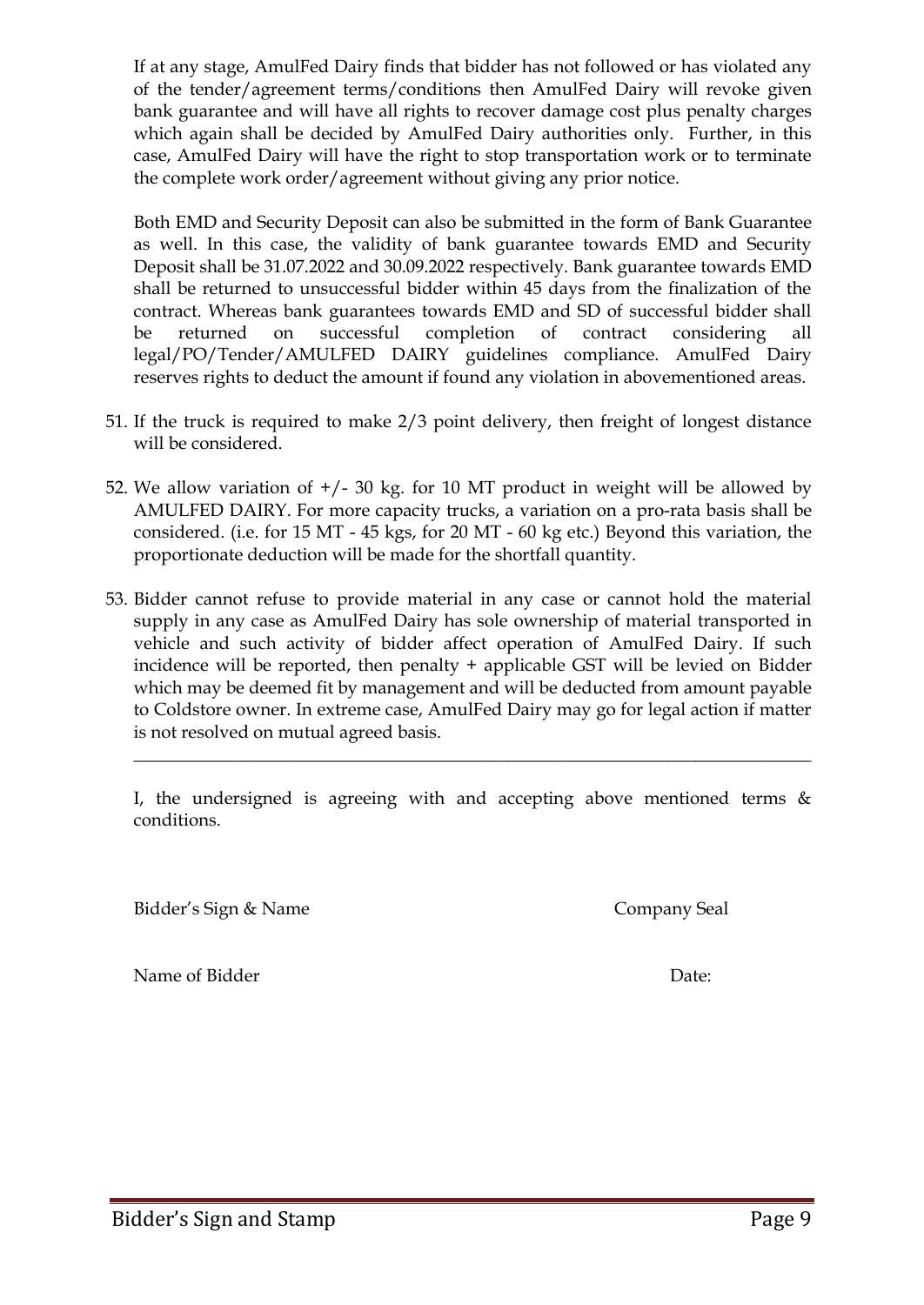If at any stage, AmulFed Dairy finds that bidder has not followed or has violated any of the tender/agreement terms/conditions then AmulFed Dairy will revoke given bank guarantee and will have all rights to recover damage cost plus penalty charges which again shall be decided by AmulFed Dairy authorities only. Further, in this case, AmulFed Dairy will have the right to stop transportation work or to terminate the complete work order/agreement without giving any prior notice.

Both EMD and Security Deposit can also be submitted in the form of Bank Guarantee as well. In this case, the validity of bank guarantee towards EMD and Security Deposit shall be 31.07.2022 and 30.09.2022 respectively. Bank guarantee towards EMD shall be returned to unsuccessful bidder within 45 days from the finalization of the contract. Whereas bank guarantees towards EMD and SD of successful bidder shall be returned on successful completion of contract considering all legal/PO/Tender/AMULFED DAIRY guidelines compliance. AmulFed Dairy reserves rights to deduct the amount if found any violation in abovementioned areas.

- 51. If the truck is required to make 2/3 point delivery, then freight of longest distance will be considered.
- 52. We allow variation of  $+/- 30$  kg. for 10 MT product in weight will be allowed by AMULFED DAIRY. For more capacity trucks, a variation on a pro-rata basis shall be considered. (i.e. for 15 MT - 45 kgs, for 20 MT - 60 kg etc.) Beyond this variation, the proportionate deduction will be made for the shortfall quantity.
- 53. Bidder cannot refuse to provide material in any case or cannot hold the material supply in any case as AmulFed Dairy has sole ownership of material transported in vehicle and such activity of bidder affect operation of AmulFed Dairy. If such incidence will be reported, then penalty + applicable GST will be levied on Bidder which may be deemed fit by management and will be deducted from amount payable to Coldstore owner. In extreme case, AmulFed Dairy may go for legal action if matter is not resolved on mutual agreed basis.

I, the undersigned is agreeing with and accepting above mentioned terms  $\&$ conditions.

\_\_\_\_\_\_\_\_\_\_\_\_\_\_\_\_\_\_\_\_\_\_\_\_\_\_\_\_\_\_\_\_\_\_\_\_\_\_\_\_\_\_\_\_\_\_\_\_\_\_\_\_\_\_\_\_\_\_\_\_\_\_\_\_\_\_\_\_\_\_\_\_\_\_\_\_

Bidder's Sign & Name Company Seal

Name of Bidder Date: